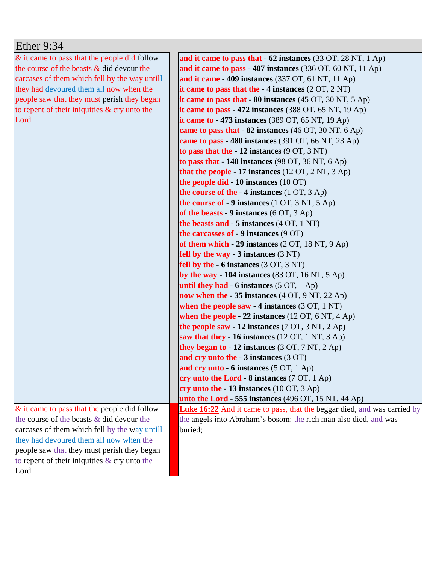| Ether $9:34$                                    |                                                                                      |
|-------------------------------------------------|--------------------------------------------------------------------------------------|
| & it came to pass that the people did follow    | and it came to pass that - 62 instances (33 OT, 28 NT, 1 Ap)                         |
| the course of the beasts $&$ did devour the     | and it came to pass - 407 instances $(336 \text{ OT}, 60 \text{ NT}, 11 \text{ Ap})$ |
| carcases of them which fell by the way untill   | and it came $-409$ instances (337 OT, 61 NT, 11 Ap)                                  |
| they had devoured them all now when the         | it came to pass that the $-4$ instances $(2 OT, 2 NT)$                               |
| people saw that they must perish they began     | it came to pass that $-80$ instances (45 OT, 30 NT, 5 Ap)                            |
| to repent of their iniquities $\&$ cry unto the | it came to pass - 472 instances $(388 \text{ OT}, 65 \text{ NT}, 19 \text{ Ap})$     |
| Lord                                            | it came to $-473$ instances (389 OT, 65 NT, 19 Ap)                                   |
|                                                 | came to pass that - 82 instances (46 OT, 30 NT, 6 Ap)                                |
|                                                 | came to pass - 480 instances (391 OT, 66 NT, 23 Ap)                                  |
|                                                 | to pass that the $-12$ instances $(9 \text{ OT}, 3 \text{ NT})$                      |
|                                                 | to pass that $-140$ instances (98 OT, 36 NT, 6 Ap)                                   |
|                                                 | that the people - 17 instances $(12 \text{ OT}, 2 \text{ NT}, 3 \text{ Ap})$         |
|                                                 | the people did $-10$ instances $(10 \text{ OT})$                                     |
|                                                 | the course of the $-4$ instances (1 OT, 3 Ap)                                        |
|                                                 | the course of $-9$ instances (1 OT, 3 NT, 5 Ap)                                      |
|                                                 | of the beasts - 9 instances $(6 OT, 3 Ap)$                                           |
|                                                 | the beasts and - 5 instances (4 OT, 1 NT)                                            |
|                                                 | the carcasses of $-9$ instances $(9 \text{ OT})$                                     |
|                                                 | of them which - 29 instances (2 OT, 18 NT, 9 Ap)                                     |
|                                                 | fell by the way - $3$ instances $(3 \text{ NT})$                                     |
|                                                 | fell by the - 6 instances (3 OT, 3 NT)                                               |
|                                                 | by the way - 104 instances $(83 \text{ OT}, 16 \text{ NT}, 5 \text{ Ap})$            |
|                                                 | until they had - 6 instances (5 OT, 1 Ap)                                            |
|                                                 | now when the - 35 instances (4 OT, 9 NT, 22 Ap)                                      |
|                                                 | when the people saw $-4$ instances (3 OT, 1 NT)                                      |
|                                                 | when the people - 22 instances $(12 \text{ OT}, 6 \text{ NT}, 4 \text{ Ap})$         |
|                                                 | the people saw - 12 instances $(7 \text{ OT}, 3 \text{ NT}, 2 \text{ Ap})$           |
|                                                 | saw that they - 16 instances $(12 OT, 1 NT, 3 Ap)$                                   |
|                                                 | they began to $-12$ instances (3 OT, 7 NT, 2 Ap)                                     |
|                                                 | and cry unto the $-3$ instances $(3 \text{ OT})$                                     |
|                                                 | and cry unto - 6 instances (5 OT, 1 Ap)                                              |
|                                                 | cry unto the Lord $-8$ instances (7 OT, 1 Ap)                                        |
|                                                 | cry unto the $-13$ instances (10 OT, 3 Ap)                                           |
|                                                 | unto the Lord - 555 instances $(496$ OT, 15 NT, 44 Ap)                               |
| $\&$ it came to pass that the people did follow | <b>Luke 16:22</b> And it came to pass, that the beggar died, and was carried by      |
| the course of the beasts $\&$ did devour the    | the angels into Abraham's bosom: the rich man also died, and was                     |
| carcases of them which fell by the way untill   | buried;                                                                              |
| they had devoured them all now when the         |                                                                                      |
| people saw that they must perish they began     |                                                                                      |
| to repent of their iniquities $\&$ cry unto the |                                                                                      |
| Lord                                            |                                                                                      |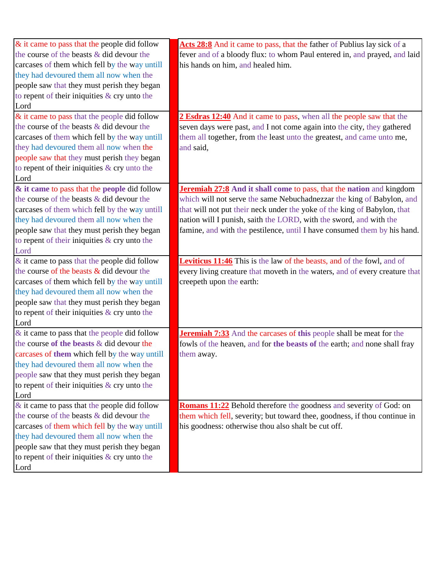| $\&$ it came to pass that the people did follow         | Acts 28:8 And it came to pass, that the father of Publius lay sick of a       |
|---------------------------------------------------------|-------------------------------------------------------------------------------|
| the course of the beasts & did devour the               | fever and of a bloody flux: to whom Paul entered in, and prayed, and laid     |
| carcases of them which fell by the way untill           | his hands on him, and healed him.                                             |
| they had devoured them all now when the                 |                                                                               |
| people saw that they must perish they began             |                                                                               |
| to repent of their iniquities & cry unto the            |                                                                               |
| Lord                                                    |                                                                               |
| & it came to pass that the people did follow            | 2 Esdras 12:40 And it came to pass, when all the people saw that the          |
| the course of the beasts & did devour the               | seven days were past, and I not come again into the city, they gathered       |
| carcases of them which fell by the way untill           | them all together, from the least unto the greatest, and came unto me,        |
| they had devoured them all now when the                 | and said,                                                                     |
| people saw that they must perish they began             |                                                                               |
| to repent of their iniquities & cry unto the            |                                                                               |
| Lord                                                    |                                                                               |
| & it came to pass that the people did follow            | <b>Jeremiah 27:8</b> And it shall come to pass, that the nation and kingdom   |
| the course of the beasts & did devour the               | which will not serve the same Nebuchadnezzar the king of Babylon, and         |
| carcases of them which fell by the way untill           | that will not put their neck under the yoke of the king of Babylon, that      |
| they had devoured them all now when the                 | nation will I punish, saith the LORD, with the sword, and with the            |
| people saw that they must perish they began             | famine, and with the pestilence, until I have consumed them by his hand.      |
| to repent of their iniquities & cry unto the            |                                                                               |
| Lord                                                    |                                                                               |
| $\&$ it came to pass that the people did follow         | <b>Leviticus 11:46</b> This is the law of the beasts, and of the fowl, and of |
|                                                         |                                                                               |
| the course of the beasts $&$ did devour the             | every living creature that moveth in the waters, and of every creature that   |
| carcases of them which fell by the way untill           | creepeth upon the earth:                                                      |
| they had devoured them all now when the                 |                                                                               |
| people saw that they must perish they began             |                                                                               |
| to repent of their iniquities & cry unto the            |                                                                               |
| Lord                                                    |                                                                               |
| $\&$ it came to pass that the people did follow         | <b>Jeremiah 7:33</b> And the carcases of this people shall be meat for the    |
| the course of the beasts & did devour the               | fowls of the heaven, and for the beasts of the earth; and none shall fray     |
| carcases of them which fell by the way untill           | them away.                                                                    |
| they had devoured them all now when the                 |                                                                               |
| people saw that they must perish they began             |                                                                               |
| to repent of their iniquities $\&$ cry unto the         |                                                                               |
| Lord                                                    |                                                                               |
| & it came to pass that the people did follow            | <b>Romans 11:22</b> Behold therefore the goodness and severity of God: on     |
| the course of the beasts & did devour the               | them which fell, severity; but toward thee, goodness, if thou continue in     |
| carcases of them which fell by the way untill           | his goodness: otherwise thou also shalt be cut off.                           |
| they had devoured them all now when the                 |                                                                               |
| people saw that they must perish they began             |                                                                               |
| to repent of their iniquities $\&$ cry unto the<br>Lord |                                                                               |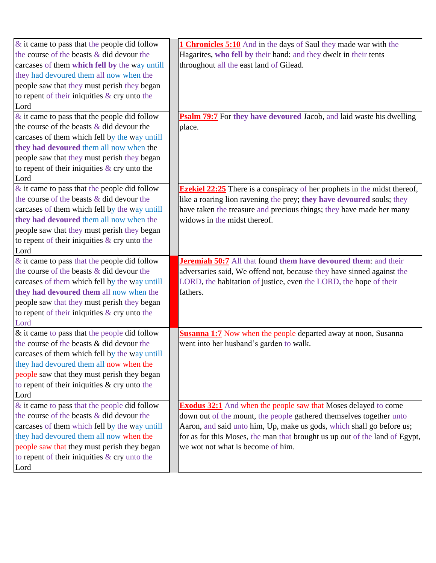| $\&$ it came to pass that the people did follow | 1 Chronicles 5:10 And in the days of Saul they made war with the                 |
|-------------------------------------------------|----------------------------------------------------------------------------------|
| the course of the beasts & did devour the       | Hagarites, who fell by their hand: and they dwelt in their tents                 |
| carcases of them which fell by the way untill   | throughout all the east land of Gilead.                                          |
| they had devoured them all now when the         |                                                                                  |
| people saw that they must perish they began     |                                                                                  |
| to repent of their iniquities $&$ cry unto the  |                                                                                  |
| Lord                                            |                                                                                  |
| $\&$ it came to pass that the people did follow | <b>Psalm 79:7</b> For they have devoured Jacob, and laid waste his dwelling      |
| the course of the beasts $\&$ did devour the    | place.                                                                           |
| carcases of them which fell by the way untill   |                                                                                  |
| they had devoured them all now when the         |                                                                                  |
| people saw that they must perish they began     |                                                                                  |
| to repent of their iniquities $\&$ cry unto the |                                                                                  |
| Lord                                            |                                                                                  |
| $\&$ it came to pass that the people did follow | <b>Ezekiel 22:25</b> There is a conspiracy of her prophets in the midst thereof, |
| the course of the beasts & did devour the       | like a roaring lion ravening the prey; they have devoured souls; they            |
| carcases of them which fell by the way untill   | have taken the treasure and precious things; they have made her many             |
| they had devoured them all now when the         | widows in the midst thereof.                                                     |
| people saw that they must perish they began     |                                                                                  |
| to repent of their iniquities $\&$ cry unto the |                                                                                  |
| Lord                                            |                                                                                  |
| $\&$ it came to pass that the people did follow | Jeremiah 50:7 All that found them have devoured them: and their                  |
| the course of the beasts & did devour the       | adversaries said, We offend not, because they have sinned against the            |
| carcases of them which fell by the way untill   | LORD, the habitation of justice, even the LORD, the hope of their                |
| they had devoured them all now when the         | fathers.                                                                         |
| people saw that they must perish they began     |                                                                                  |
| to repent of their iniquities & cry unto the    |                                                                                  |
| Lord                                            |                                                                                  |
| $\&$ it came to pass that the people did follow | <b>Susanna 1:7</b> Now when the people departed away at noon, Susanna            |
| the course of the beasts & did devour the       | went into her husband's garden to walk.                                          |
| carcases of them which fell by the way untill   |                                                                                  |
| they had devoured them all now when the         |                                                                                  |
| people saw that they must perish they began     |                                                                                  |
| to repent of their iniquities $&$ cry unto the  |                                                                                  |
| Lord                                            |                                                                                  |
| & it came to pass that the people did follow    | <b>Exodus 32:1</b> And when the people saw that Moses delayed to come            |
| the course of the beasts & did devour the       | down out of the mount, the people gathered themselves together unto              |
| carcases of them which fell by the way untill   | Aaron, and said unto him, Up, make us gods, which shall go before us;            |
| they had devoured them all now when the         | for as for this Moses, the man that brought us up out of the land of Egypt,      |
| people saw that they must perish they began     | we wot not what is become of him.                                                |
| to repent of their iniquities $\&$ cry unto the |                                                                                  |
| Lord                                            |                                                                                  |